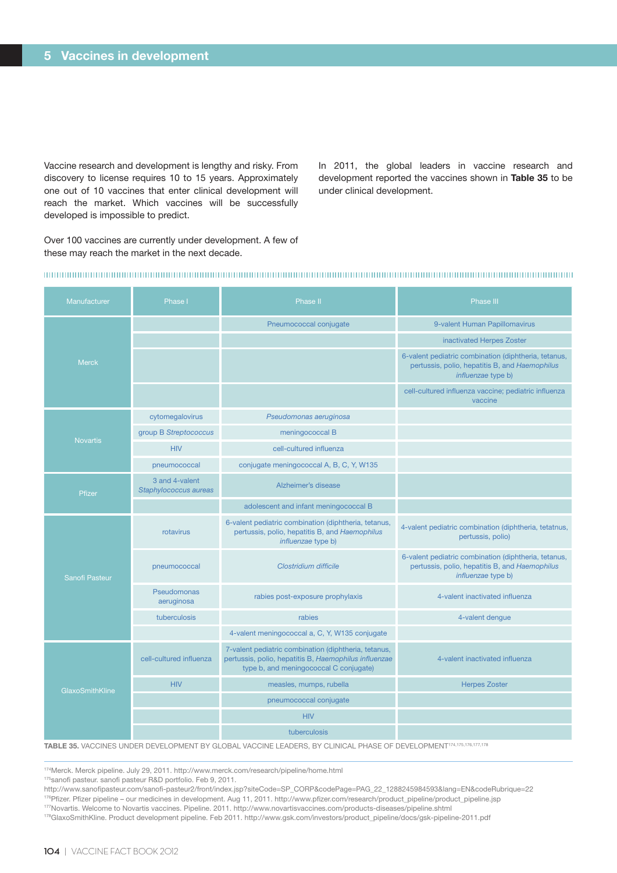Vaccine research and development is lengthy and risky. From discovery to license requires 10 to 15 years. Approximately one out of 10 vaccines that enter clinical development will reach the market. Which vaccines will be successfully developed is impossible to predict.

In 2011, the global leaders in vaccine research and development reported the vaccines shown in **Table 35** to be under clinical development.

Over 100 vaccines are currently under development. A few of these may reach the market in the next decade.

## 

| <b>Manufacturer</b> | Phase I                                 | Phase II                                                                                                                                                | Phase III                                                                                                                           |
|---------------------|-----------------------------------------|---------------------------------------------------------------------------------------------------------------------------------------------------------|-------------------------------------------------------------------------------------------------------------------------------------|
| <b>Merck</b>        |                                         | Pneumococcal conjugate                                                                                                                                  | 9-valent Human Papillomavirus                                                                                                       |
|                     |                                         |                                                                                                                                                         | inactivated Herpes Zoster                                                                                                           |
|                     |                                         |                                                                                                                                                         | 6-valent pediatric combination (diphtheria, tetanus,<br>pertussis, polio, hepatitis B, and Haemophilus<br><i>influenzae</i> type b) |
|                     |                                         |                                                                                                                                                         | cell-cultured influenza vaccine; pediatric influenza<br>vaccine                                                                     |
| <b>Novartis</b>     | cytomegalovirus                         | Pseudomonas aeruginosa                                                                                                                                  |                                                                                                                                     |
|                     | group B Streptococcus                   | meningococcal B                                                                                                                                         |                                                                                                                                     |
|                     | <b>HIV</b>                              | cell-cultured influenza                                                                                                                                 |                                                                                                                                     |
|                     | pneumococcal                            | conjugate meningococcal A, B, C, Y, W135                                                                                                                |                                                                                                                                     |
| Pfizer              | 3 and 4-valent<br>Staphylococcus aureas | Alzheimer's disease                                                                                                                                     |                                                                                                                                     |
|                     |                                         | adolescent and infant meningococcal B                                                                                                                   |                                                                                                                                     |
| Sanofi Pasteur      | rotavirus                               | 6-valent pediatric combination (diphtheria, tetanus,<br>pertussis, polio, hepatitis B, and Haemophilus<br>influenzae type b)                            | 4-valent pediatric combination (diphtheria, tetatnus,<br>pertussis, polio)                                                          |
|                     | pneumococcal                            | Clostridium difficile                                                                                                                                   | 6-valent pediatric combination (diphtheria, tetanus,<br>pertussis, polio, hepatitis B, and Haemophilus<br>influenzae type b)        |
|                     | Pseudomonas<br>aeruginosa               | rabies post-exposure prophylaxis                                                                                                                        | 4-valent inactivated influenza                                                                                                      |
|                     | tuberculosis                            | rabies                                                                                                                                                  | 4-valent dengue                                                                                                                     |
|                     |                                         | 4-valent meningococcal a, C, Y, W135 conjugate                                                                                                          |                                                                                                                                     |
| GlaxoSmithKline     | cell-cultured influenza                 | 7-valent pediatric combination (diphtheria, tetanus,<br>pertussis, polio, hepatitis B, Haemophilus influenzae<br>type b, and meningococcal C conjugate) | 4-valent inactivated influenza                                                                                                      |
|                     | <b>HIV</b>                              | measles, mumps, rubella                                                                                                                                 | <b>Herpes Zoster</b>                                                                                                                |
|                     |                                         | pneumococcal conjugate                                                                                                                                  |                                                                                                                                     |
|                     |                                         | <b>HIV</b>                                                                                                                                              |                                                                                                                                     |
|                     |                                         | tuberculosis                                                                                                                                            |                                                                                                                                     |

**TABLE 35.** VACCINES UNDER DEVELOPMENT BY GLOBAL VACCINE LEADERS, BY CLINICAL PHASE OF DEVELOPMENT174,175,176,177,178

<sup>174</sup>Merck. Merck pipeline. July 29, 2011. http://www.merck.com/research/pipeline/home.html

<sup>175</sup>sanofi pasteur. sanofi pasteur R&D portfolio. Feb 9, 2011.

http://www.sanofipasteur.com/sanofi-pasteur2/front/index.jsp?siteCode=SP\_CORP&codePage=PAG\_22\_1288245984593&lang=EN&codeRubrique=22 176Pfizer. Pfizer pipeline – our medicines in development. Aug 11, 2011. http://www.pfizer.com/research/product\_pipeline/product\_pipeline.jsp 177Novartis. Welcome to Novartis vaccines. Pipeline. 2011. http://www.novartisvaccines.com/products-diseases/pipeline.shtml

<sup>178</sup>GlaxoSmithKline. Product development pipeline. Feb 2011. http://www.gsk.com/investors/product\_pipeline/docs/gsk-pipeline-2011.pdf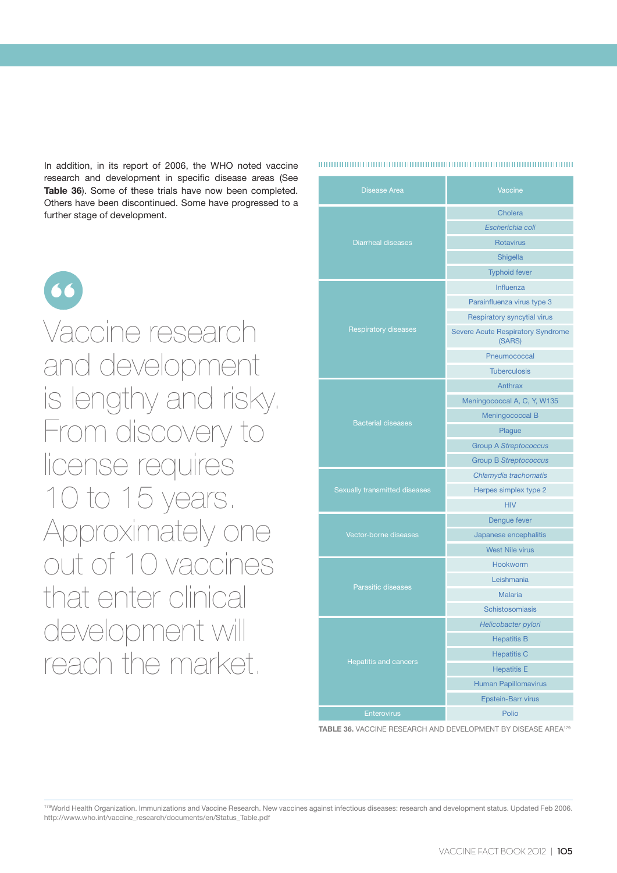In addition, in its report of 2006, the WHO noted vaccine research and development in specific disease areas (See **Table 36**). Some of these trials have now been completed. Others have been discontinued. Some have progressed to a further stage of development.



Vaccine research and development is lengthy and risky. From discovery to license requires 10 to 15 years. Approximately one out of 10 vaccines that enter clinical development will reach the market.

**Disease Area** Vaccine Diarrheal diseases Cholera *Escherichia coli* Rotavirus Shigella Typhoid fever Respiratory diseases Influenza Parainfluenza virus type 3 Respiratory syncytial virus Severe Acute Respiratory Syndrome (SARS) Pneumococcal **Tuberculosis** Bacterial diseases Anthrax Meningococcal A, C, Y, W135 Meningococcal B Plague Group A *Streptococcus* Group B *Streptococcus Chlamydia trachomatis* Herpes simplex type 2 HIV Vector-borne diseases Dengue fever Japanese encephalitis West Nile virus Parasitic diseases Hookworm Leishmania Malaria Schistosomiasis Hepatitis and cancers *Helicobacter pylori* Hepatitis B Hepatitis C Hepatitis E Human Papillomavirus Epstein-Barr virus **Enterovirus Polio** 

**TABLE 36.** VACCINE RESEARCH AND DEVELOPMENT BY DISEASE AREA179

179World Health Organization. Immunizations and Vaccine Research. New vaccines against infectious diseases: research and development status. Updated Feb 2006. http://www.who.int/vaccine\_research/documents/en/Status\_Table.pdf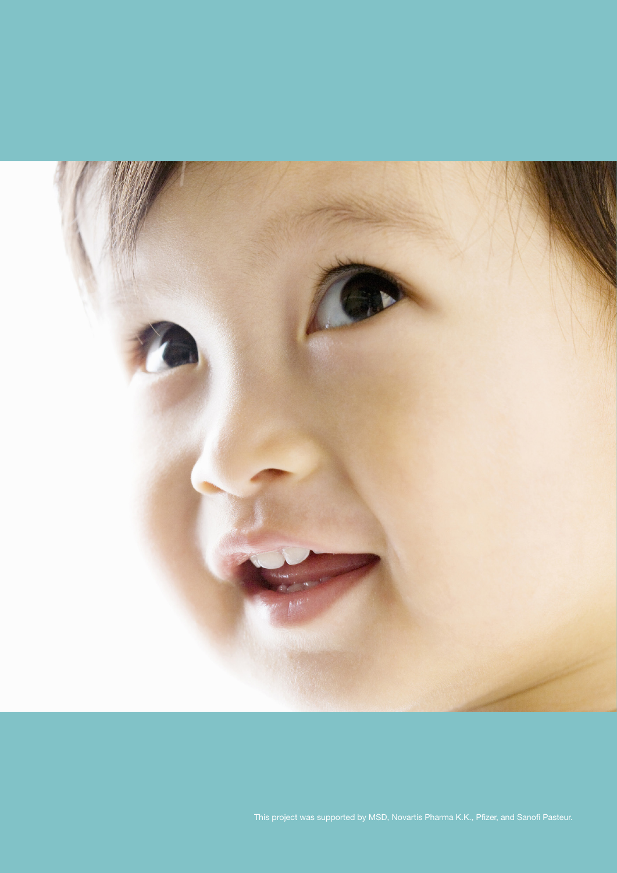